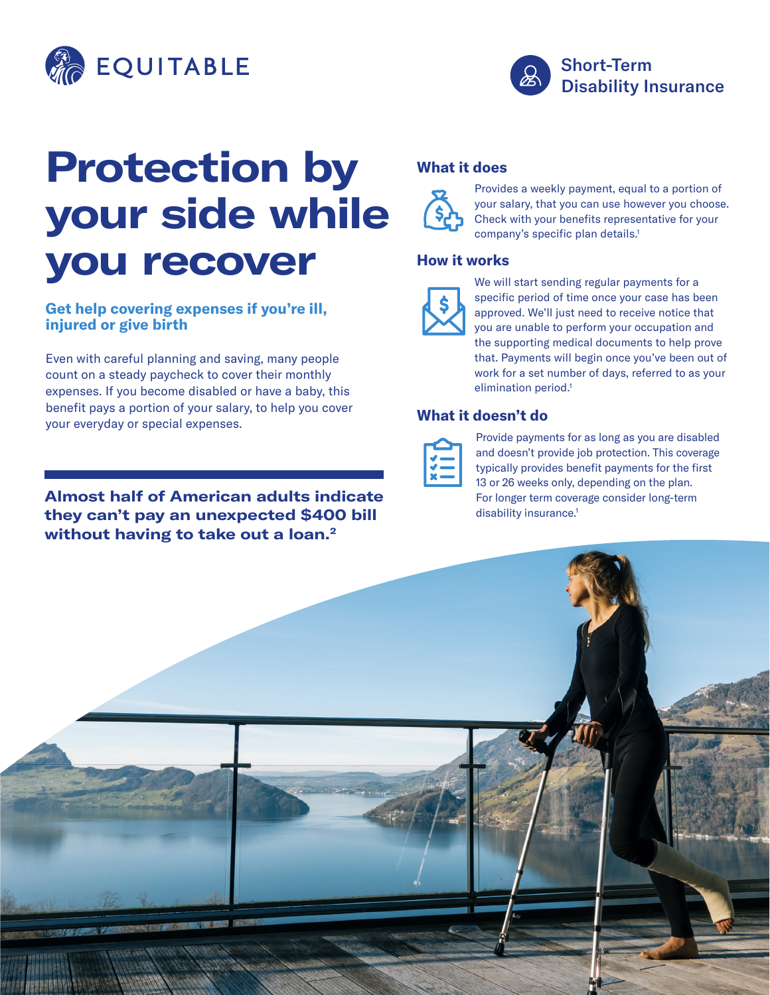



# **Protection by your side while you recover**

#### **Get help covering expenses if you're ill, injured or give birth**

Even with careful planning and saving, many people count on a steady paycheck to cover their monthly expenses. If you become disabled or have a baby, this benefit pays a portion of your salary, to help you cover your everyday or special expenses.

# **Almost half of American adults indicate they can't pay an unexpected \$400 bill without having to take out a loan.2**

# **What it does**



Provides a weekly payment, equal to a portion of your salary, that you can use however you choose. Check with your benefits representative for your company's specific plan details.<sup>1</sup>

### **How it works**



We will start sending regular payments for a specific period of time once your case has been approved. We'll just need to receive notice that you are unable to perform your occupation and the supporting medical documents to help prove that. Payments will begin once you've been out of work for a set number of days, referred to as your elimination period.<sup>1</sup>

### **What it doesn't do**



Provide payments for as long as you are disabled and doesn't provide job protection. This coverage typically provides benefit payments for the first 13 or 26 weeks only, depending on the plan. For longer term coverage consider long-term disability insurance.<sup>1</sup>